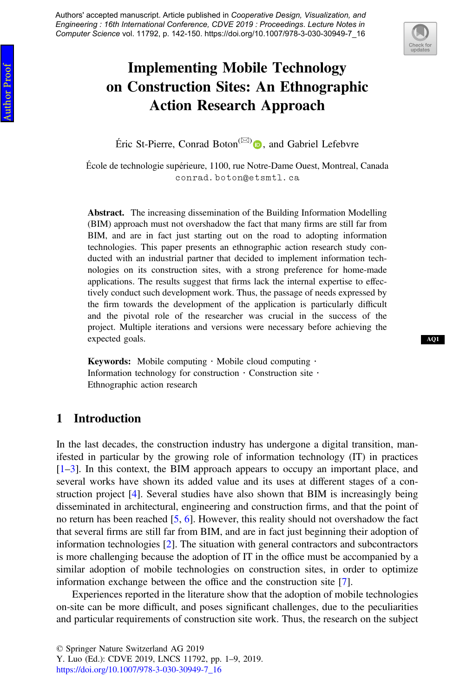Authors' accepted manuscript. Article published in *Cooperative Design, Visualization, and Engineering : 16th International Conference, CDVE 2019 : Proceedings*. *Lecture Notes in Computer Science* vol. 11792, p. 142-150. https://doi.org/10.1007/978-3-030-30949-7\_16



# Implementing Mobile Technology on Construction Sites: An Ethnographic Action Research Approach

Éric St-Pierre, Conrad Boton<sup>( $\boxtimes$ )</sup> and Gabriel Lefebvre

École de technologie supérieure, 1100, rue Notre-Dame Ouest, Montreal, Canada conrad.boton@etsmtl.ca

Abstract. The increasing dissemination of the Building Information Modelling (BIM) approach must not overshadow the fact that many firms are still far from BIM, and are in fact just starting out on the road to adopting information technologies. This paper presents an ethnographic action research study conducted with an industrial partner that decided to implement information technologies on its construction sites, with a strong preference for home-made applications. The results suggest that firms lack the internal expertise to effectively conduct such development work. Thus, the passage of needs expressed by the firm towards the development of the application is particularly difficult and the pivotal role of the researcher was crucial in the success of the project. Multiple iterations and versions were necessary before achieving the expected goals.

**Keywords:** Mobile computing  $\cdot$  Mobile cloud computing  $\cdot$  Information technology for construction  $\cdot$  Construction site  $\cdot$  Ethnographic action research

# 1 Introduction

In the last decades, the construction industry has undergone a digital transition, manifested in particular by the growing role of information technology (IT) in practices [\[1](#page-7-0)–[3](#page-7-0)]. In this context, the BIM approach appears to occupy an important place, and several works have shown its added value and its uses at different stages of a construction project [[4\]](#page-7-0). Several studies have also shown that BIM is increasingly being disseminated in architectural, engineering and construction firms, and that the point of no return has been reached [\[5](#page-7-0), [6](#page-7-0)]. However, this reality should not overshadow the fact that several firms are still far from BIM, and are in fact just beginning their adoption of information technologies [[2\]](#page-7-0). The situation with general contractors and subcontractors is more challenging because the adoption of IT in the office must be accompanied by a similar adoption of mobile technologies on construction sites, in order to optimize information exchange between the office and the construction site [[7\]](#page-7-0).

Experiences reported in the literature show that the adoption of mobile technologies on-site can be more difficult, and poses significant challenges, due to the peculiarities and particular requirements of construction site work. Thus, the research on the subject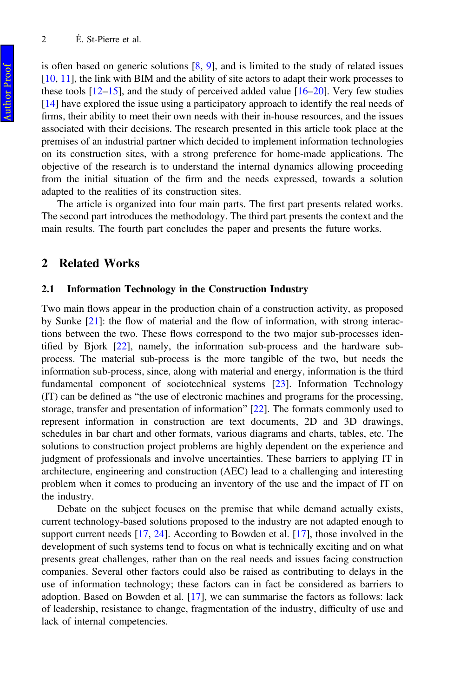<span id="page-1-0"></span>is often based on generic solutions [\[8](#page-7-0), [9](#page-7-0)], and is limited to the study of related issues [[10,](#page-7-0) [11\]](#page-7-0), the link with BIM and the ability of site actors to adapt their work processes to these tools  $[12-15]$  $[12-15]$  $[12-15]$  $[12-15]$ , and the study of perceived added value  $[16-20]$  $[16-20]$  $[16-20]$  $[16-20]$ . Very few studies [[14\]](#page-7-0) have explored the issue using a participatory approach to identify the real needs of firms, their ability to meet their own needs with their in-house resources, and the issues associated with their decisions. The research presented in this article took place at the premises of an industrial partner which decided to implement information technologies on its construction sites, with a strong preference for home-made applications. The objective of the research is to understand the internal dynamics allowing proceeding from the initial situation of the firm and the needs expressed, towards a solution adapted to the realities of its construction sites.

The article is organized into four main parts. The first part presents related works. The second part introduces the methodology. The third part presents the context and the main results. The fourth part concludes the paper and presents the future works.

## 2 Related Works

#### 2.1 Information Technology in the Construction Industry

Two main flows appear in the production chain of a construction activity, as proposed by Sunke [[21\]](#page-8-0): the flow of material and the flow of information, with strong interactions between the two. These flows correspond to the two major sub-processes identified by Bjork [\[22](#page-8-0)], namely, the information sub-process and the hardware subprocess. The material sub-process is the more tangible of the two, but needs the information sub-process, since, along with material and energy, information is the third fundamental component of sociotechnical systems [\[23](#page-8-0)]. Information Technology (IT) can be defined as "the use of electronic machines and programs for the processing, storage, transfer and presentation of information" [\[22](#page-8-0)]. The formats commonly used to represent information in construction are text documents, 2D and 3D drawings, schedules in bar chart and other formats, various diagrams and charts, tables, etc. The solutions to construction project problems are highly dependent on the experience and judgment of professionals and involve uncertainties. These barriers to applying IT in architecture, engineering and construction (AEC) lead to a challenging and interesting problem when it comes to producing an inventory of the use and the impact of IT on the industry.

Debate on the subject focuses on the premise that while demand actually exists, current technology-based solutions proposed to the industry are not adapted enough to support current needs [[17,](#page-8-0) [24](#page-8-0)]. According to Bowden et al. [[17\]](#page-8-0), those involved in the development of such systems tend to focus on what is technically exciting and on what presents great challenges, rather than on the real needs and issues facing construction companies. Several other factors could also be raised as contributing to delays in the use of information technology; these factors can in fact be considered as barriers to adoption. Based on Bowden et al. [\[17](#page-8-0)], we can summarise the factors as follows: lack of leadership, resistance to change, fragmentation of the industry, difficulty of use and lack of internal competencies.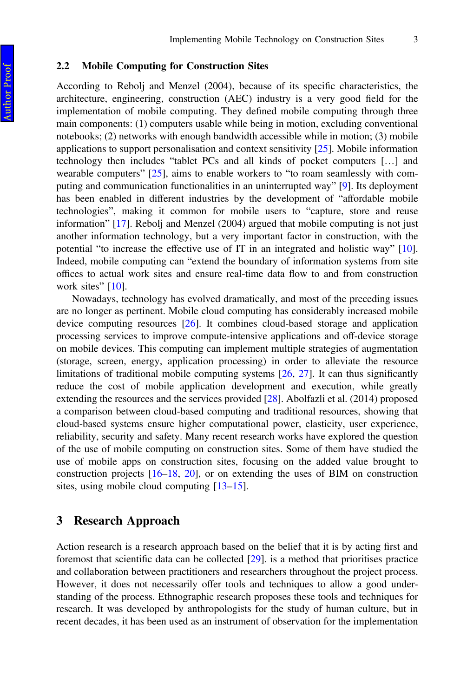#### <span id="page-2-0"></span>2.2 Mobile Computing for Construction Sites

According to Rebolj and Menzel (2004), because of its specific characteristics, the architecture, engineering, construction (AEC) industry is a very good field for the implementation of mobile computing. They defined mobile computing through three main components: (1) computers usable while being in motion, excluding conventional notebooks; (2) networks with enough bandwidth accessible while in motion; (3) mobile applications to support personalisation and context sensitivity [[25\]](#page-8-0). Mobile information technology then includes "tablet PCs and all kinds of pocket computers […] and wearable computers" [\[25](#page-8-0)], aims to enable workers to "to roam seamlessly with computing and communication functionalities in an uninterrupted way" [\[9](#page-7-0)]. Its deployment has been enabled in different industries by the development of "affordable mobile technologies", making it common for mobile users to "capture, store and reuse information" [[17\]](#page-8-0). Rebolj and Menzel (2004) argued that mobile computing is not just another information technology, but a very important factor in construction, with the potential "to increase the effective use of IT in an integrated and holistic way" [[10\]](#page-7-0). Indeed, mobile computing can "extend the boundary of information systems from site offices to actual work sites and ensure real-time data flow to and from construction work sites" [[10\]](#page-7-0).

Nowadays, technology has evolved dramatically, and most of the preceding issues are no longer as pertinent. Mobile cloud computing has considerably increased mobile device computing resources [[26\]](#page-8-0). It combines cloud-based storage and application processing services to improve compute-intensive applications and off-device storage on mobile devices. This computing can implement multiple strategies of augmentation (storage, screen, energy, application processing) in order to alleviate the resource limitations of traditional mobile computing systems  $[26, 27]$  $[26, 27]$  $[26, 27]$  $[26, 27]$ . It can thus significantly reduce the cost of mobile application development and execution, while greatly extending the resources and the services provided [\[28](#page-8-0)]. Abolfazli et al. (2014) proposed a comparison between cloud-based computing and traditional resources, showing that cloud-based systems ensure higher computational power, elasticity, user experience, reliability, security and safety. Many recent research works have explored the question of the use of mobile computing on construction sites. Some of them have studied the use of mobile apps on construction sites, focusing on the added value brought to construction projects [[16](#page-8-0)–[18,](#page-8-0) [20](#page-8-0)], or on extending the uses of BIM on construction sites, using mobile cloud computing  $[13-15]$  $[13-15]$  $[13-15]$  $[13-15]$ .

### 3 Research Approach

Action research is a research approach based on the belief that it is by acting first and foremost that scientific data can be collected [\[29](#page-8-0)]. is a method that prioritises practice and collaboration between practitioners and researchers throughout the project process. However, it does not necessarily offer tools and techniques to allow a good understanding of the process. Ethnographic research proposes these tools and techniques for research. It was developed by anthropologists for the study of human culture, but in recent decades, it has been used as an instrument of observation for the implementation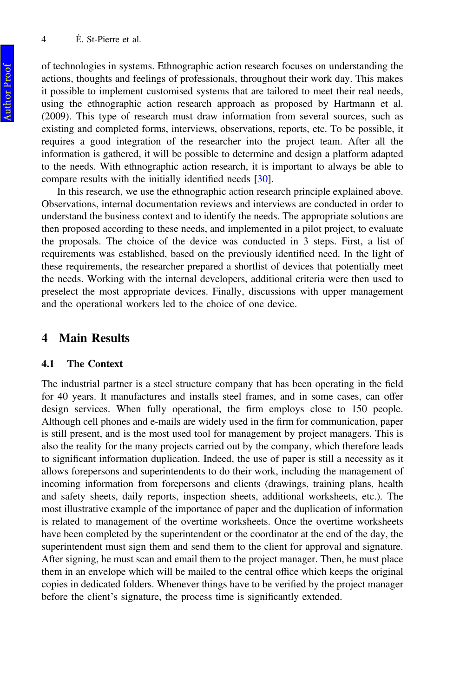<span id="page-3-0"></span>of technologies in systems. Ethnographic action research focuses on understanding the actions, thoughts and feelings of professionals, throughout their work day. This makes it possible to implement customised systems that are tailored to meet their real needs, using the ethnographic action research approach as proposed by Hartmann et al. (2009). This type of research must draw information from several sources, such as existing and completed forms, interviews, observations, reports, etc. To be possible, it requires a good integration of the researcher into the project team. After all the information is gathered, it will be possible to determine and design a platform adapted to the needs. With ethnographic action research, it is important to always be able to compare results with the initially identified needs [[30\]](#page-8-0).

In this research, we use the ethnographic action research principle explained above. Observations, internal documentation reviews and interviews are conducted in order to understand the business context and to identify the needs. The appropriate solutions are then proposed according to these needs, and implemented in a pilot project, to evaluate the proposals. The choice of the device was conducted in 3 steps. First, a list of requirements was established, based on the previously identified need. In the light of these requirements, the researcher prepared a shortlist of devices that potentially meet the needs. Working with the internal developers, additional criteria were then used to preselect the most appropriate devices. Finally, discussions with upper management and the operational workers led to the choice of one device.

# 4 Main Results

#### 4.1 The Context

The industrial partner is a steel structure company that has been operating in the field for 40 years. It manufactures and installs steel frames, and in some cases, can offer design services. When fully operational, the firm employs close to 150 people. Although cell phones and e-mails are widely used in the firm for communication, paper is still present, and is the most used tool for management by project managers. This is also the reality for the many projects carried out by the company, which therefore leads to significant information duplication. Indeed, the use of paper is still a necessity as it allows forepersons and superintendents to do their work, including the management of incoming information from forepersons and clients (drawings, training plans, health and safety sheets, daily reports, inspection sheets, additional worksheets, etc.). The most illustrative example of the importance of paper and the duplication of information is related to management of the overtime worksheets. Once the overtime worksheets have been completed by the superintendent or the coordinator at the end of the day, the superintendent must sign them and send them to the client for approval and signature. After signing, he must scan and email them to the project manager. Then, he must place them in an envelope which will be mailed to the central office which keeps the original copies in dedicated folders. Whenever things have to be verified by the project manager before the client's signature, the process time is significantly extended.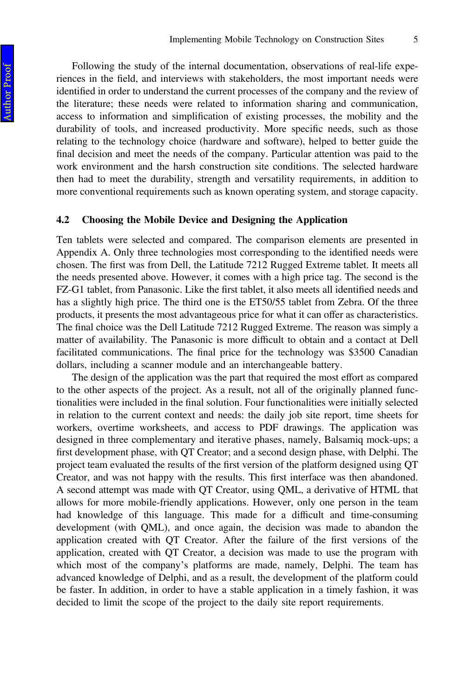Following the study of the internal documentation, observations of real-life experiences in the field, and interviews with stakeholders, the most important needs were identified in order to understand the current processes of the company and the review of the literature; these needs were related to information sharing and communication, access to information and simplification of existing processes, the mobility and the durability of tools, and increased productivity. More specific needs, such as those relating to the technology choice (hardware and software), helped to better guide the final decision and meet the needs of the company. Particular attention was paid to the work environment and the harsh construction site conditions. The selected hardware then had to meet the durability, strength and versatility requirements, in addition to more conventional requirements such as known operating system, and storage capacity.

#### 4.2 Choosing the Mobile Device and Designing the Application

Ten tablets were selected and compared. The comparison elements are presented in Appendix A. Only three technologies most corresponding to the identified needs were chosen. The first was from Dell, the Latitude 7212 Rugged Extreme tablet. It meets all the needs presented above. However, it comes with a high price tag. The second is the FZ-G1 tablet, from Panasonic. Like the first tablet, it also meets all identified needs and has a slightly high price. The third one is the ET50/55 tablet from Zebra. Of the three products, it presents the most advantageous price for what it can offer as characteristics. The final choice was the Dell Latitude 7212 Rugged Extreme. The reason was simply a matter of availability. The Panasonic is more difficult to obtain and a contact at Dell facilitated communications. The final price for the technology was \$3500 Canadian dollars, including a scanner module and an interchangeable battery.

The design of the application was the part that required the most effort as compared to the other aspects of the project. As a result, not all of the originally planned functionalities were included in the final solution. Four functionalities were initially selected in relation to the current context and needs: the daily job site report, time sheets for workers, overtime worksheets, and access to PDF drawings. The application was designed in three complementary and iterative phases, namely, Balsamiq mock-ups; a first development phase, with QT Creator; and a second design phase, with Delphi. The project team evaluated the results of the first version of the platform designed using QT Creator, and was not happy with the results. This first interface was then abandoned. A second attempt was made with QT Creator, using QML, a derivative of HTML that allows for more mobile-friendly applications. However, only one person in the team had knowledge of this language. This made for a difficult and time-consuming development (with QML), and once again, the decision was made to abandon the application created with QT Creator. After the failure of the first versions of the application, created with QT Creator, a decision was made to use the program with which most of the company's platforms are made, namely, Delphi. The team has advanced knowledge of Delphi, and as a result, the development of the platform could be faster. In addition, in order to have a stable application in a timely fashion, it was decided to limit the scope of the project to the daily site report requirements.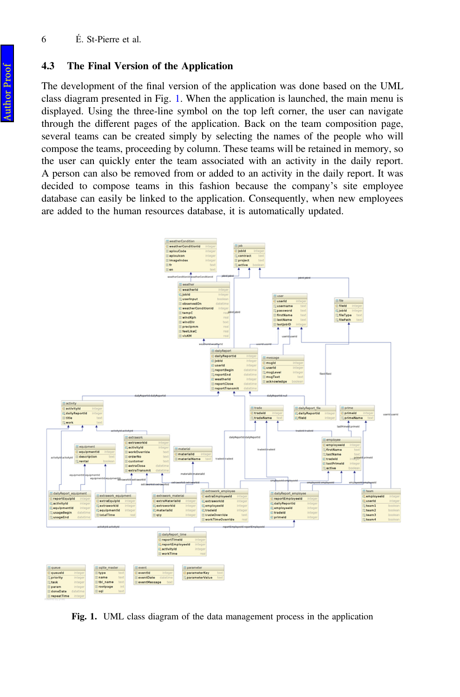#### 4.3 The Final Version of the Application

The development of the final version of the application was done based on the UML class diagram presented in Fig. 1. When the application is launched, the main menu is displayed. Using the three-line symbol on the top left corner, the user can navigate through the different pages of the application. Back on the team composition page, several teams can be created simply by selecting the names of the people who will compose the teams, proceeding by column. These teams will be retained in memory, so the user can quickly enter the team associated with an activity in the daily report. A person can also be removed from or added to an activity in the daily report. It was decided to compose teams in this fashion because the company's site employee database can easily be linked to the application. Consequently, when new employees are added to the human resources database, it is automatically updated.



Fig. 1. UML class diagram of the data management process in the application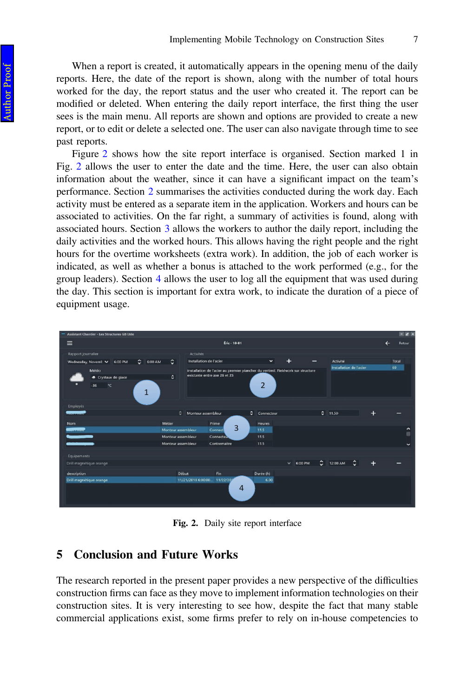When a report is created, it automatically appears in the opening menu of the daily reports. Here, the date of the report is shown, along with the number of total hours worked for the day, the report status and the user who created it. The report can be modified or deleted. When entering the daily report interface, the first thing the user sees is the main menu. All reports are shown and options are provided to create a new report, or to edit or delete a selected one. The user can also navigate through time to see past reports.

Figure 2 shows how the site report interface is organised. Section marked 1 in Fig. 2 allows the user to enter the date and the time. Here, the user can also obtain information about the weather, since it can have a significant impact on the team's performance. Section [2](#page-1-0) summarises the activities conducted during the work day. Each activity must be entered as a separate item in the application. Workers and hours can be associated to activities. On the far right, a summary of activities is found, along with associated hours. Section [3](#page-2-0) allows the workers to author the daily report, including the daily activities and the worked hours. This allows having the right people and the right hours for the overtime worksheets (extra work). In addition, the job of each worker is indicated, as well as whether a bonus is attached to the work performed (e.g., for the group leaders). Section [4](#page-3-0) allows the user to log all the equipment that was used during the day. This section is important for extra work, to indicate the duration of a piece of equipment usage.



Fig. 2. Daily site report interface

# 5 Conclusion and Future Works

The research reported in the present paper provides a new perspective of the difficulties construction firms can face as they move to implement information technologies on their construction sites. It is very interesting to see how, despite the fact that many stable commercial applications exist, some firms prefer to rely on in-house competencies to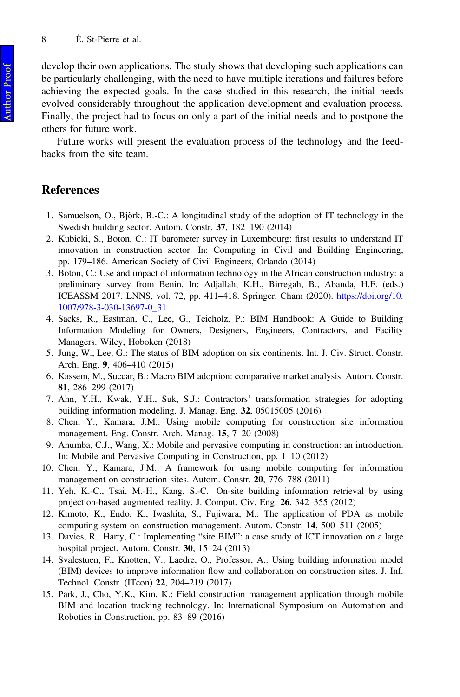<span id="page-7-0"></span>develop their own applications. The study shows that developing such applications can be particularly challenging, with the need to have multiple iterations and failures before achieving the expected goals. In the case studied in this research, the initial needs evolved considerably throughout the application development and evaluation process. Finally, the project had to focus on only a part of the initial needs and to postpone the others for future work.

Future works will present the evaluation process of the technology and the feedbacks from the site team.

# References

- 1. Samuelson, O., Björk, B.-C.: A longitudinal study of the adoption of IT technology in the Swedish building sector. Autom. Constr. 37, 182–190 (2014)
- 2. Kubicki, S., Boton, C.: IT barometer survey in Luxembourg: first results to understand IT innovation in construction sector. In: Computing in Civil and Building Engineering, pp. 179–186. American Society of Civil Engineers, Orlando (2014)
- 3. Boton, C.: Use and impact of information technology in the African construction industry: a preliminary survey from Benin. In: Adjallah, K.H., Birregah, B., Abanda, H.F. (eds.) ICEASSM 2017. LNNS, vol. 72, pp. 411–418. Springer, Cham (2020). [https://doi.org/10.](http://dx.doi.org/10.1007/978-3-030-13697-0_31) [1007/978-3-030-13697-0\\_31](http://dx.doi.org/10.1007/978-3-030-13697-0_31)
- 4. Sacks, R., Eastman, C., Lee, G., Teicholz, P.: BIM Handbook: A Guide to Building Information Modeling for Owners, Designers, Engineers, Contractors, and Facility Managers. Wiley, Hoboken (2018)
- 5. Jung, W., Lee, G.: The status of BIM adoption on six continents. Int. J. Civ. Struct. Constr. Arch. Eng. 9, 406–410 (2015)
- 6. Kassem, M., Succar, B.: Macro BIM adoption: comparative market analysis. Autom. Constr. 81, 286–299 (2017)
- 7. Ahn, Y.H., Kwak, Y.H., Suk, S.J.: Contractors' transformation strategies for adopting building information modeling. J. Manag. Eng. 32, 05015005 (2016)
- 8. Chen, Y., Kamara, J.M.: Using mobile computing for construction site information management. Eng. Constr. Arch. Manag. 15, 7–20 (2008)
- 9. Anumba, C.J., Wang, X.: Mobile and pervasive computing in construction: an introduction. In: Mobile and Pervasive Computing in Construction, pp. 1–10 (2012)
- 10. Chen, Y., Kamara, J.M.: A framework for using mobile computing for information management on construction sites. Autom. Constr. 20, 776–788 (2011)
- 11. Yeh, K.-C., Tsai, M.-H., Kang, S.-C.: On-site building information retrieval by using projection-based augmented reality. J. Comput. Civ. Eng. 26, 342–355 (2012)
- 12. Kimoto, K., Endo, K., Iwashita, S., Fujiwara, M.: The application of PDA as mobile computing system on construction management. Autom. Constr. 14, 500–511 (2005)
- 13. Davies, R., Harty, C.: Implementing "site BIM": a case study of ICT innovation on a large hospital project. Autom. Constr. 30, 15–24 (2013)
- 14. Svalestuen, F., Knotten, V., Laedre, O., Professor, A.: Using building information model (BIM) devices to improve information flow and collaboration on construction sites. J. Inf. Technol. Constr. (ITcon) 22, 204–219 (2017)
- 15. Park, J., Cho, Y.K., Kim, K.: Field construction management application through mobile BIM and location tracking technology. In: International Symposium on Automation and Robotics in Construction, pp. 83–89 (2016)